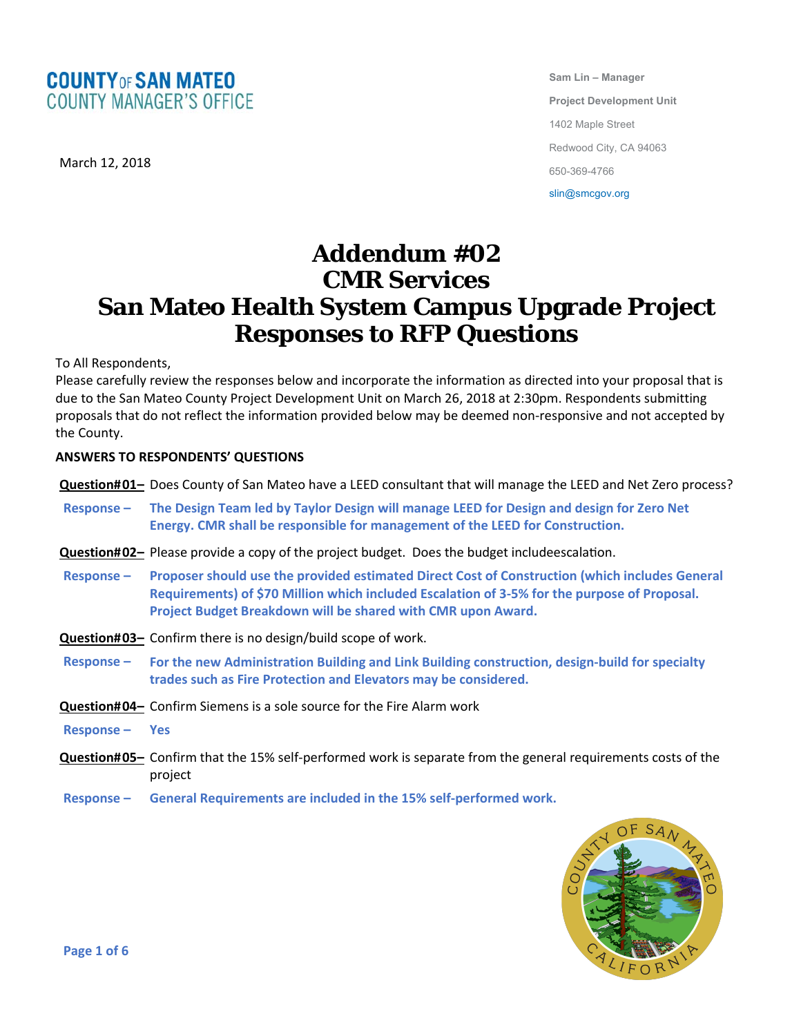

March 12, 2018

**Sam Lin – Manager Project Development Unit**  1402 Maple Street Redwood City, CA 94063 650-369-4766 slin@smcgov.org

# **Addendum #02 CMR Services San Mateo Health System Campus Upgrade Project Responses to RFP Questions**

To All Respondents,

Please carefully review the responses below and incorporate the information as directed into your proposal that is due to the San Mateo County Project Development Unit on March 26, 2018 at 2:30pm. Respondents submitting proposals that do not reflect the information provided below may be deemed non‐responsive and not accepted by the County.

## **ANSWERS TO RESPONDENTS' QUESTIONS**

**Question#01-** Does County of San Mateo have a LEED consultant that will manage the LEED and Net Zero process?

- Response The Design Team led by Taylor Design will manage LEED for Design and design for Zero Net **Energy. CMR shall be responsible for management of the LEED for Construction.**
- **Question#02-** Please provide a copy of the project budget. Does the budget includeescalation.
- **Response – Proposer should use the provided estimated Direct Cost of Construction (which includes General Requirements) of \$70 Million which included Escalation of 3‐5% for the purpose of Proposal. Project Budget Breakdown will be shared with CMR upon Award.**
- **Question#03-** Confirm there is no design/build scope of work.
- **Response – For the new Administration Building and Link Building construction, design‐build for specialty trades such as Fire Protection and Elevators may be considered.**
- **Question#04-** Confirm Siemens is a sole source for the Fire Alarm work
- **Response – Yes**
- **Question#05-** Confirm that the 15% self-performed work is separate from the general requirements costs of the project
- **Response – General Requirements are included in the 15% self‐performed work.**

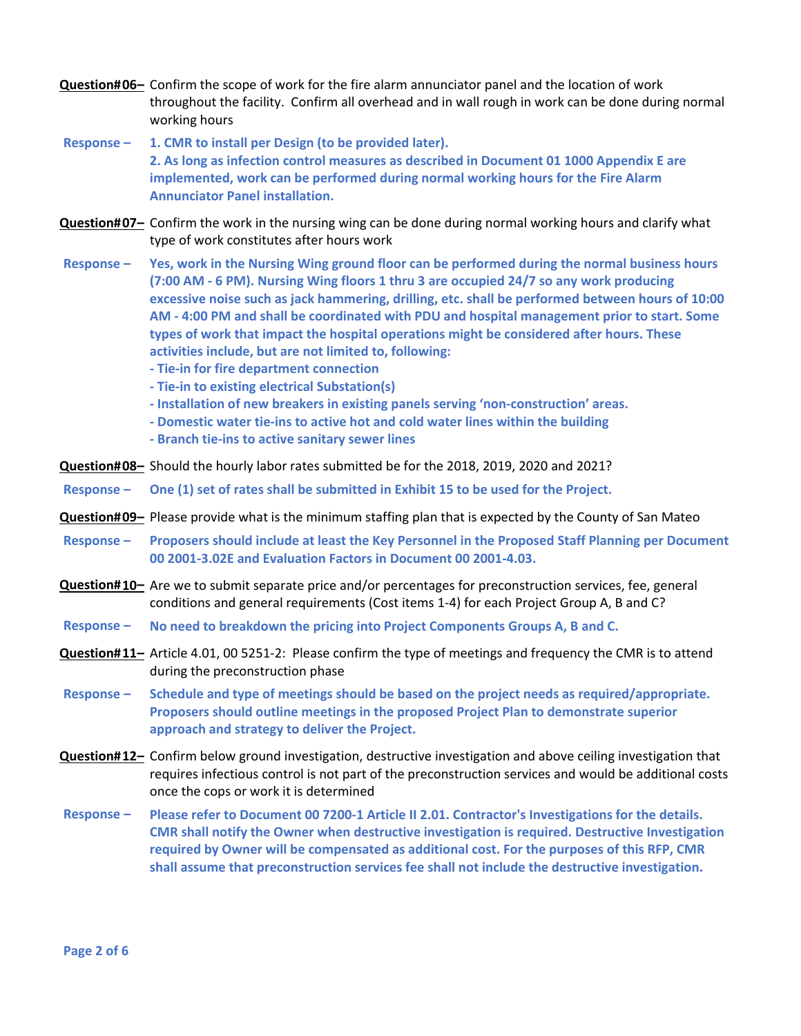- **Question#06-** Confirm the scope of work for the fire alarm annunciator panel and the location of work throughout the facility. Confirm all overhead and in wall rough in work can be done during normal working hours
- **Response – 1. CMR to install per Design (to be provided later). 2. As long as infection control measures as described in Document 01 1000 Appendix E are implemented, work can be performed during normal working hours for the Fire Alarm Annunciator Panel installation.**
- **Question#07-** Confirm the work in the nursing wing can be done during normal working hours and clarify what type of work constitutes after hours work
- Response Yes, work in the Nursing Wing ground floor can be performed during the normal business hours **(7:00 AM ‐ 6 PM). Nursing Wing floors 1 thru 3 are occupied 24/7 so any work producing excessive noise such as jack hammering, drilling, etc. shall be performed between hours of 10:00 AM ‐ 4:00 PM and shall be coordinated with PDU and hospital management prior to start. Some types of work that impact the hospital operations might be considered after hours. These activities include, but are not limited to, following:**
	- **‐ Tie‐in for fire department connection**
	- **‐ Tie‐in to existing electrical Substation(s)**
	- **‐ Installation of new breakers in existing panels serving 'non‐construction' areas.**
	- **‐ Domestic water tie‐ins to active hot and cold water lines within the building**
	- **‐ Branch tie‐ins to active sanitary sewer lines**
- **Question# 08–** Should the hourly labor rates submitted be for the 2018, 2019, 2020 and 2021?
- Response One (1) set of rates shall be submitted in Exhibit 15 to be used for the Project.
- **Question# 09–** Please provide what is the minimum staffing plan that is expected by the County of San Mateo
- Response Proposers should include at least the Key Personnel in the Proposed Staff Planning per Document **00 2001‐3.02E and Evaluation Factors in Document 00 2001‐4.03.**
- **Question#10-** Are we to submit separate price and/or percentages for preconstruction services, fee, general conditions and general requirements (Cost items 1‐4) for each Project Group A, B and C?
- **Response – No need to breakdown the pricing into Project Components Groups A, B and C.**
- **Question#11-** Article 4.01, 00 5251-2: Please confirm the type of meetings and frequency the CMR is to attend during the preconstruction phase
- **Response – Schedule and type of meetings should be based on the project needs as required/appropriate. Proposers should outline meetings in the proposed Project Plan to demonstrate superior approach and strategy to deliver the Project.**
- **Question#12-** Confirm below ground investigation, destructive investigation and above ceiling investigation that requires infectious control is not part of the preconstruction services and would be additional costs once the cops or work it is determined
- Response Please refer to Document 00 7200-1 Article II 2.01. Contractor's Investigations for the details. **CMR shall notify the Owner when destructive investigation is required. Destructive Investigation required by Owner will be compensated as additional cost. For the purposes of this RFP, CMR shall assume that preconstruction services fee shall not include the destructive investigation.**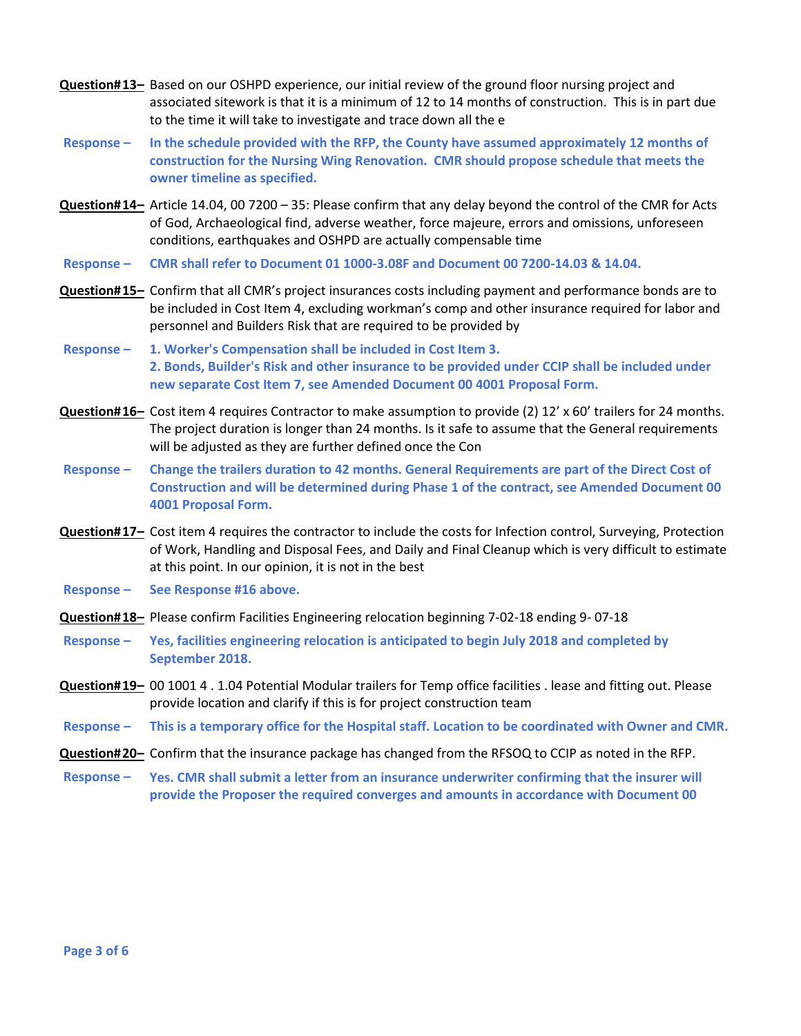- **Question#13-** Based on our OSHPD experience, our initial review of the ground floor nursing project and associated sitework is that it is a minimum of 12 to 14 months of construction. This is in part due to the time it will take to investigate and trace down all the e
- **Response – In the schedule provided with the RFP, the County have assumed approximately 12 months of construction for the Nursing Wing Renovation. CMR should propose schedule that meets the owner timeline as specified.**
- Question#14- Article 14.04, 00 7200 35: Please confirm that any delay beyond the control of the CMR for Acts of God, Archaeological find, adverse weather, force majeure, errors and omissions, unforeseen conditions, earthquakes and OSHPD are actually compensable time
- **Response – CMR shall refer to Document 01 1000‐3.08F and Document 00 7200‐14.03 & 14.04.**
- **Question#15-** Confirm that all CMR's project insurances costs including payment and performance bonds are to be included in Cost Item 4, excluding workman's comp and other insurance required for labor and personnel and Builders Risk that are required to be provided by
- **Response – 1. Worker's Compensation shall be included in Cost Item 3. 2. Bonds, Builder's Risk and other insurance to be provided under CCIP shall be included under new separate Cost Item 7, see Amended Document 00 4001 Proposal Form.**
- **Question#16-** Cost item 4 requires Contractor to make assumption to provide (2) 12' x 60' trailers for 24 months. The project duration is longer than 24 months. Is it safe to assume that the General requirements will be adjusted as they are further defined once the Con
- Response Change the trailers duration to 42 months. General Requirements are part of the Direct Cost of **Construction and will be determined during Phase 1 of the contract, see Amended Document 00 4001 Proposal Form.**
- **Question#17-** Cost item 4 requires the contractor to include the costs for Infection control, Surveying, Protection of Work, Handling and Disposal Fees, and Daily and Final Cleanup which is very difficult to estimate at this point. In our opinion, it is not in the best
- **Response – See Response #16 above.**
- **Question# 18–** Please confirm Facilities Engineering relocation beginning 7‐02‐18 ending 9‐ 07‐18
- **Response – Yes, facilities engineering relocation is anticipated to begin July 2018 and completed by September 2018.**
- **Question#19-** 00 1001 4 . 1.04 Potential Modular trailers for Temp office facilities . lease and fitting out. Please provide location and clarify if this is for project construction team
- Response This is a temporary office for the Hospital staff. Location to be coordinated with Owner and CMR.
- **Question# 20–** Confirm that the insurance package has changed from the RFSOQ to CCIP as noted in the RFP.
- **Response – Yes. CMR shall submit a letter from an insurance underwriter confirming that the insurer will provide the Proposer the required converges and amounts in accordance with Document 00**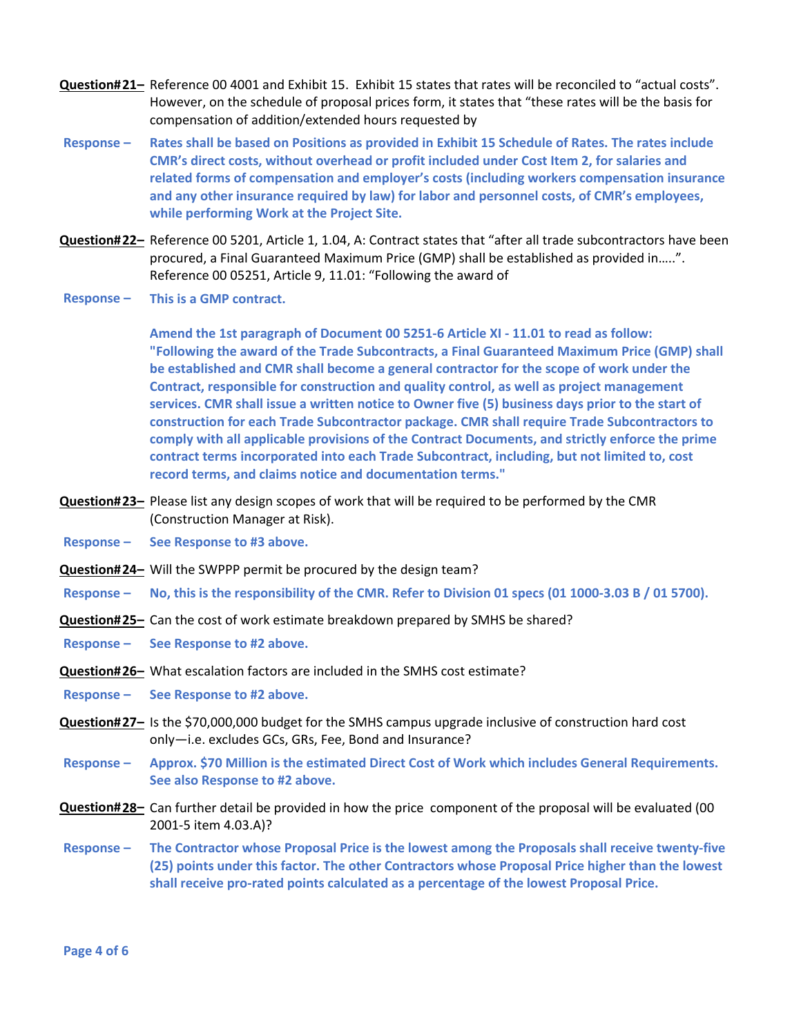- **Question#21-** Reference 00 4001 and Exhibit 15. Exhibit 15 states that rates will be reconciled to "actual costs". However, on the schedule of proposal prices form, it states that "these rates will be the basis for compensation of addition/extended hours requested by
- Response Rates shall be based on Positions as provided in Exhibit 15 Schedule of Rates. The rates include **CMR's direct costs, without overhead or profit included under Cost Item 2, for salaries and related forms of compensation and employer's costs (including workers compensation insurance and any other insurance required by law) for labor and personnel costs, of CMR's employees, while performing Work at the Project Site.**
- **Question#22–** Reference 00 5201, Article 1, 1.04, A: Contract states that "after all trade subcontractors have been procured, a Final Guaranteed Maximum Price (GMP) shall be established as provided in…..". Reference 00 05251, Article 9, 11.01: "Following the award of
- **Response – This is a GMP contract.**

**Amend the 1st paragraph of Document 00 5251‐6 Article XI ‐ 11.01 to read as follow: "Following the award of the Trade Subcontracts, a Final Guaranteed Maximum Price (GMP) shall be established and CMR shall become a general contractor for the scope of work under the Contract, responsible for construction and quality control, as well as project management services. CMR shall issue a written notice to Owner five (5) business days prior to the start of construction for each Trade Subcontractor package. CMR shall require Trade Subcontractors to comply with all applicable provisions of the Contract Documents, and strictly enforce the prime contract terms incorporated into each Trade Subcontract, including, but not limited to, cost record terms, and claims notice and documentation terms."**

- **Question#23-** Please list any design scopes of work that will be required to be performed by the CMR (Construction Manager at Risk).
- **Response – See Response to #3 above.**
- **Question#24–** Will the SWPPP permit be procured by the design team?
- Response No, this is the responsibility of the CMR. Refer to Division 01 specs (01 1000-3.03 B / 01 5700).
- **Question#25–** Can the cost of work estimate breakdown prepared by SMHS be shared?
- **Response – See Response to #2 above.**
- **Question# 26–** What escalation factors are included in the SMHS cost estimate?
- **Response – See Response to #2 above.**
- **Question#27-** Is the \$70,000,000 budget for the SMHS campus upgrade inclusive of construction hard cost only—i.e. excludes GCs, GRs, Fee, Bond and Insurance?
- **Response – Approx. \$70 Million is the estimated Direct Cost of Work which includes General Requirements. See also Response to #2 above.**
- **Question#28-** Can further detail be provided in how the price component of the proposal will be evaluated (00 2001‐5 item 4.03.A)?
- Response The Contractor whose Proposal Price is the lowest among the Proposals shall receive twenty-five **(25) points under this factor. The other Contractors whose Proposal Price higher than the lowest shall receive pro‐rated points calculated as a percentage of the lowest Proposal Price.**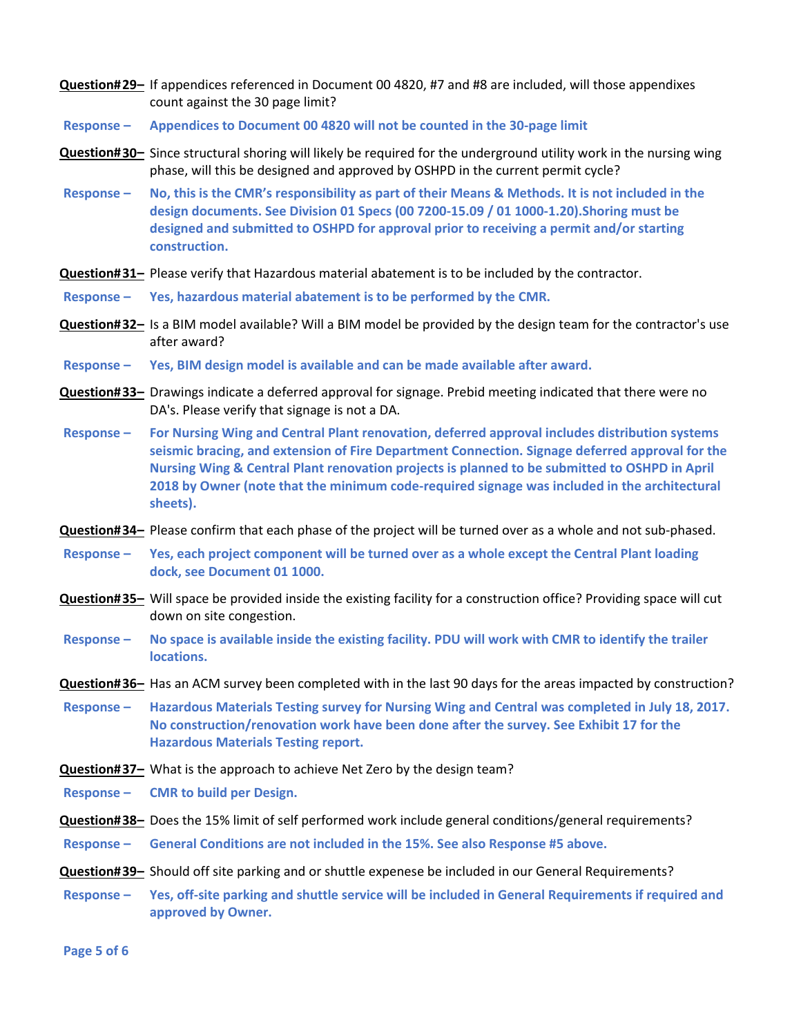- If appendices referenced in Document 00 4820, #7 and #8 are included, will those appendixes **Question# 29–** count against the 30 page limit?
- **Response – Appendices to Document 00 4820 will not be counted in the 30‐page limit**
- **Question#30-** Since structural shoring will likely be required for the underground utility work in the nursing wing phase, will this be designed and approved by OSHPD in the current permit cycle?
- Response No, this is the CMR's responsibility as part of their Means & Methods. It is not included in the **design documents. See Division 01 Specs (00 7200‐15.09 / 01 1000‐1.20). Shoring must be designed and submitted to OSHPD for approval prior to receiving a permit and/or starting construction.**
- **Question#31-** Please verify that Hazardous material abatement is to be included by the contractor.
- **Response – Yes, hazardous material abatement is to be performed by the CMR.**
- **Question#32-** Is a BIM model available? Will a BIM model be provided by the design team for the contractor's use after award?
- **Response – Yes, BIM design model is available and can be made available after award.**
- **Question#33-** Drawings indicate a deferred approval for signage. Prebid meeting indicated that there were no DA's. Please verify that signage is not a DA.
- **Response – For Nursing Wing and Central Plant renovation, deferred approval includes distribution systems seismic bracing, and extension of Fire Department Connection. Signage deferred approval for the Nursing Wing & Central Plant renovation projects is planned to be submitted to OSHPD in April 2018 by Owner (note that the minimum code‐required signage was included in the architectural sheets).**
- **Question#34–** Please confirm that each phase of the project will be turned over as a whole and not sub-phased.
- Response Yes, each project component will be turned over as a whole except the Central Plant loading **dock, see Document 01 1000.**
- **Question#35-** Will space be provided inside the existing facility for a construction office? Providing space will cut down on site congestion.
- Response No space is available inside the existing facility. PDU will work with CMR to identify the trailer **locations.**
- **Question# 36–** Has an ACM survey been completed with in the last 90 days for the areas impacted by construction?
- Response Hazardous Materials Testing survey for Nursing Wing and Central was completed in July 18, 2017. **No construction/renovation work have been done after the survey. See Exhibit 17 for the Hazardous Materials Testing report.**
- **Question#37-** What is the approach to achieve Net Zero by the design team?
- **Response – CMR to build per Design.**
- **Question# 38–** Does the 15% limit of self performed work include general conditions/general requirements?
- **Response – General Conditions are not included in the 15%. See also Response #5 above.**
- **Question# 39–** Should off site parking and or shuttle expenese be included in our General Requirements?
- Response Yes, off-site parking and shuttle service will be included in General Requirements if required and **approved by Owner.**

**Page 5 of 6**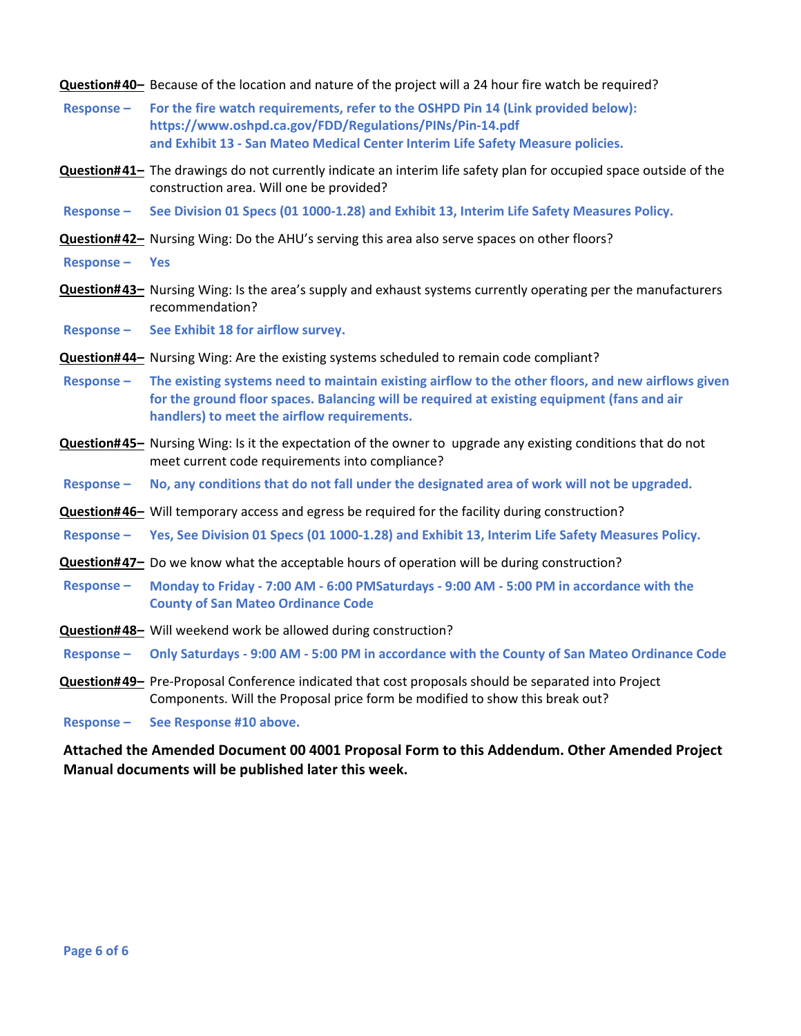**Question# 40–** Because of the location and nature of the project will a 24 hour fire watch be required?

- **Response – For the fire watch requirements, refer to the OSHPD Pin 14 (Link provided below): https://www.oshpd.ca.gov/FDD/Regulations/PINs/Pin‐14.pdf and Exhibit 13 ‐ San Mateo Medical Center Interim Life Safety Measure policies.**
- **Question#41-** The drawings do not currently indicate an interim life safety plan for occupied space outside of the construction area. Will one be provided?
- Response See Division 01 Specs (01 1000-1.28) and Exhibit 13, Interim Life Safety Measures Policy.
- **Question# 42–** Nursing Wing: Do the AHU's serving this area also serve spaces on other floors?
- **Response – Yes**
- **Question#43-** Nursing Wing: Is the area's supply and exhaust systems currently operating per the manufacturers recommendation?
- **Response – See Exhibit 18 for airflow survey.**
- **Question# 44–** Nursing Wing: Are the existing systems scheduled to remain code compliant?
- Response The existing systems need to maintain existing airflow to the other floors, and new airflows given **for the ground floor spaces. Balancing will be required at existing equipment (fans and air handlers) to meet the airflow requirements.**
- **Question#45-** Nursing Wing: Is it the expectation of the owner to upgrade any existing conditions that do not meet current code requirements into compliance?
- Response No, any conditions that do not fall under the designated area of work will not be upgraded.
- **Question# 46–** Will temporary access and egress be required for the facility during construction?
- Response Yes, See Division 01 Specs (01 1000-1.28) and Exhibit 13, Interim Life Safety Measures Policy.
- **Question#47–** Do we know what the acceptable hours of operation will be during construction?
- Response Monday to Friday 7:00 AM 6:00 PMSaturdays 9:00 AM 5:00 PM in accordance with the **County of San Mateo Ordinance Code**
- **Question#48-** Will weekend work be allowed during construction?
- Response Only Saturdays 9:00 AM 5:00 PM in accordance with the County of San Mateo Ordinance Code
- **Question#49-** Pre-Proposal Conference indicated that cost proposals should be separated into Project Components. Will the Proposal price form be modified to show this break out?

**Response – See Response #10 above.**

**Attached the Amended Document 00 4001 Proposal Form to this Addendum. Other Amended Project Manual documents will be published later this week.**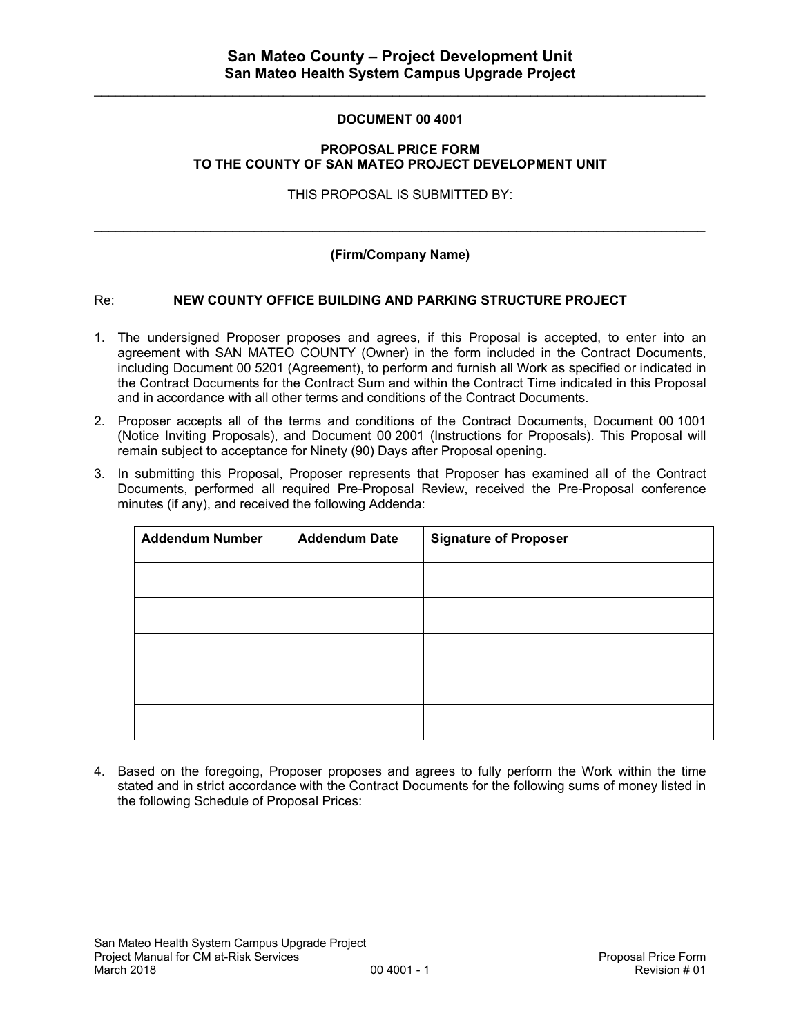$\mathcal{L}_\mathcal{L} = \{ \mathcal{L}_\mathcal{L} = \{ \mathcal{L}_\mathcal{L} = \{ \mathcal{L}_\mathcal{L} = \{ \mathcal{L}_\mathcal{L} = \{ \mathcal{L}_\mathcal{L} = \{ \mathcal{L}_\mathcal{L} = \{ \mathcal{L}_\mathcal{L} = \{ \mathcal{L}_\mathcal{L} = \{ \mathcal{L}_\mathcal{L} = \{ \mathcal{L}_\mathcal{L} = \{ \mathcal{L}_\mathcal{L} = \{ \mathcal{L}_\mathcal{L} = \{ \mathcal{L}_\mathcal{L} = \{ \mathcal{L}_\mathcal{$ 

# **DOCUMENT 00 4001**

#### **PROPOSAL PRICE FORM TO THE COUNTY OF SAN MATEO PROJECT DEVELOPMENT UNIT**

THIS PROPOSAL IS SUBMITTED BY:

# **(Firm/Company Name)**

 $\_$  , and the state of the state of the state of the state of the state of the state of the state of the state of the state of the state of the state of the state of the state of the state of the state of the state of the

## Re: **NEW COUNTY OFFICE BUILDING AND PARKING STRUCTURE PROJECT**

- 1. The undersigned Proposer proposes and agrees, if this Proposal is accepted, to enter into an agreement with SAN MATEO COUNTY (Owner) in the form included in the Contract Documents, including Document 00 5201 (Agreement), to perform and furnish all Work as specified or indicated in the Contract Documents for the Contract Sum and within the Contract Time indicated in this Proposal and in accordance with all other terms and conditions of the Contract Documents.
- 2. Proposer accepts all of the terms and conditions of the Contract Documents, Document 00 1001 (Notice Inviting Proposals), and Document 00 2001 (Instructions for Proposals). This Proposal will remain subject to acceptance for Ninety (90) Days after Proposal opening.
- 3. In submitting this Proposal, Proposer represents that Proposer has examined all of the Contract Documents, performed all required Pre-Proposal Review, received the Pre-Proposal conference minutes (if any), and received the following Addenda:

| <b>Addendum Number</b><br><b>Addendum Date</b> |  | <b>Signature of Proposer</b> |  |  |
|------------------------------------------------|--|------------------------------|--|--|
|                                                |  |                              |  |  |
|                                                |  |                              |  |  |
|                                                |  |                              |  |  |
|                                                |  |                              |  |  |
|                                                |  |                              |  |  |

4. Based on the foregoing, Proposer proposes and agrees to fully perform the Work within the time stated and in strict accordance with the Contract Documents for the following sums of money listed in the following Schedule of Proposal Prices: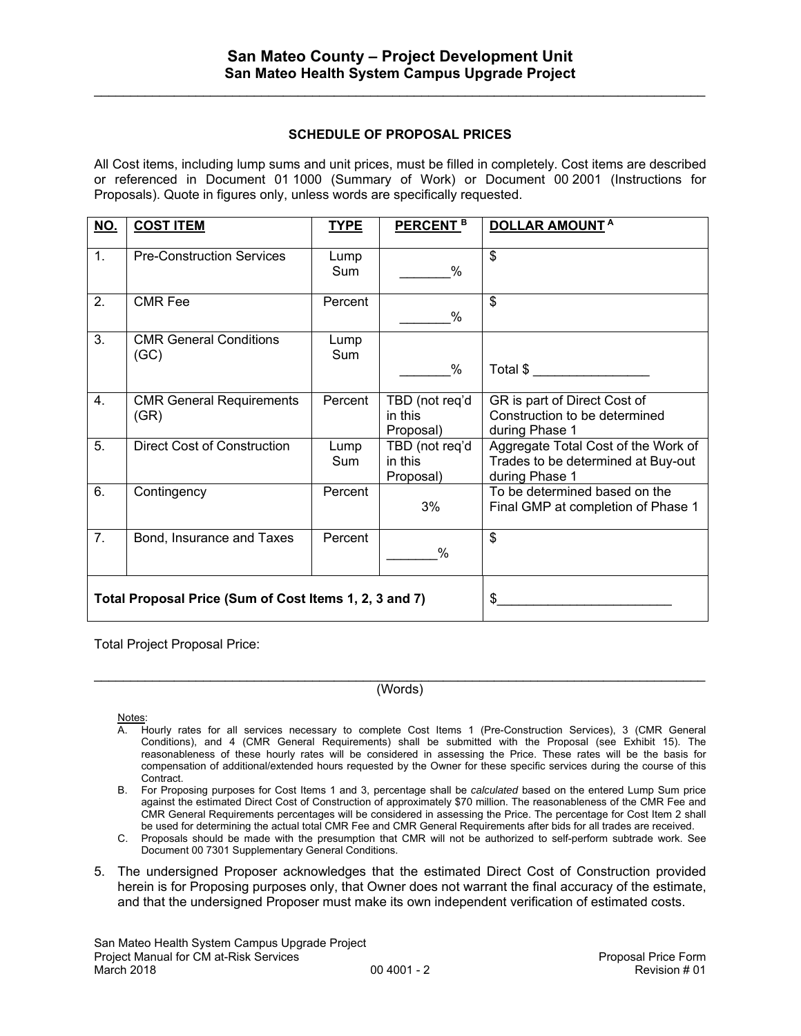$\mathcal{L}_\mathcal{L} = \{ \mathcal{L}_\mathcal{L} = \{ \mathcal{L}_\mathcal{L} = \{ \mathcal{L}_\mathcal{L} = \{ \mathcal{L}_\mathcal{L} = \{ \mathcal{L}_\mathcal{L} = \{ \mathcal{L}_\mathcal{L} = \{ \mathcal{L}_\mathcal{L} = \{ \mathcal{L}_\mathcal{L} = \{ \mathcal{L}_\mathcal{L} = \{ \mathcal{L}_\mathcal{L} = \{ \mathcal{L}_\mathcal{L} = \{ \mathcal{L}_\mathcal{L} = \{ \mathcal{L}_\mathcal{L} = \{ \mathcal{L}_\mathcal{$ 

#### **SCHEDULE OF PROPOSAL PRICES**

All Cost items, including lump sums and unit prices, must be filled in completely. Cost items are described or referenced in Document 01 1000 (Summary of Work) or Document 00 2001 (Instructions for Proposals). Quote in figures only, unless words are specifically requested.

| <u>NO.</u>                                             | <b>COST ITEM</b>                        | <b>TYPE</b> | PERCENT <sup>B</sup>                   | <b>DOLLAR AMOUNTA</b>                                                                       |
|--------------------------------------------------------|-----------------------------------------|-------------|----------------------------------------|---------------------------------------------------------------------------------------------|
| 1.                                                     | <b>Pre-Construction Services</b>        | Lump<br>Sum | $\%$                                   | \$                                                                                          |
| 2.                                                     | <b>CMR Fee</b>                          | Percent     | %                                      | \$                                                                                          |
| 3.                                                     | <b>CMR General Conditions</b><br>(GC)   | Lump<br>Sum | %                                      | Total \$                                                                                    |
| 4.                                                     | <b>CMR General Requirements</b><br>(GR) | Percent     | TBD (not req'd<br>in this<br>Proposal) | GR is part of Direct Cost of<br>Construction to be determined<br>during Phase 1             |
| 5.                                                     | <b>Direct Cost of Construction</b>      | Lump<br>Sum | TBD (not req'd<br>in this<br>Proposal) | Aggregate Total Cost of the Work of<br>Trades to be determined at Buy-out<br>during Phase 1 |
| 6.                                                     | Contingency                             | Percent     | 3%                                     | To be determined based on the<br>Final GMP at completion of Phase 1                         |
| 7.                                                     | Bond, Insurance and Taxes               | Percent     | %                                      | \$                                                                                          |
| Total Proposal Price (Sum of Cost Items 1, 2, 3 and 7) |                                         |             | \$                                     |                                                                                             |

Total Project Proposal Price:

 $\_$  ,  $\_$  ,  $\_$  ,  $\_$  ,  $\_$  ,  $\_$  ,  $\_$  ,  $\_$  ,  $\_$  ,  $\_$  ,  $\_$  ,  $\_$  ,  $\_$  ,  $\_$  ,  $\_$  ,  $\_$  ,  $\_$  ,  $\_$  ,  $\_$  ,  $\_$  ,  $\_$  ,  $\_$  ,  $\_$  ,  $\_$  ,  $\_$  ,  $\_$  ,  $\_$  ,  $\_$  ,  $\_$  ,  $\_$  ,  $\_$  ,  $\_$  ,  $\_$  ,  $\_$  ,  $\_$  ,  $\_$  ,  $\_$  , (Words)

Notes:

- A. Hourly rates for all services necessary to complete Cost Items 1 (Pre-Construction Services), 3 (CMR General Conditions), and 4 (CMR General Requirements) shall be submitted with the Proposal (see Exhibit 15). The reasonableness of these hourly rates will be considered in assessing the Price. These rates will be the basis for compensation of additional/extended hours requested by the Owner for these specific services during the course of this Contract.
- B. For Proposing purposes for Cost Items 1 and 3, percentage shall be *calculated* based on the entered Lump Sum price against the estimated Direct Cost of Construction of approximately \$70 million. The reasonableness of the CMR Fee and CMR General Requirements percentages will be considered in assessing the Price. The percentage for Cost Item 2 shall be used for determining the actual total CMR Fee and CMR General Requirements after bids for all trades are received.
- C. Proposals should be made with the presumption that CMR will not be authorized to self-perform subtrade work. See Document 00 7301 Supplementary General Conditions.
- 5. The undersigned Proposer acknowledges that the estimated Direct Cost of Construction provided herein is for Proposing purposes only, that Owner does not warrant the final accuracy of the estimate, and that the undersigned Proposer must make its own independent verification of estimated costs.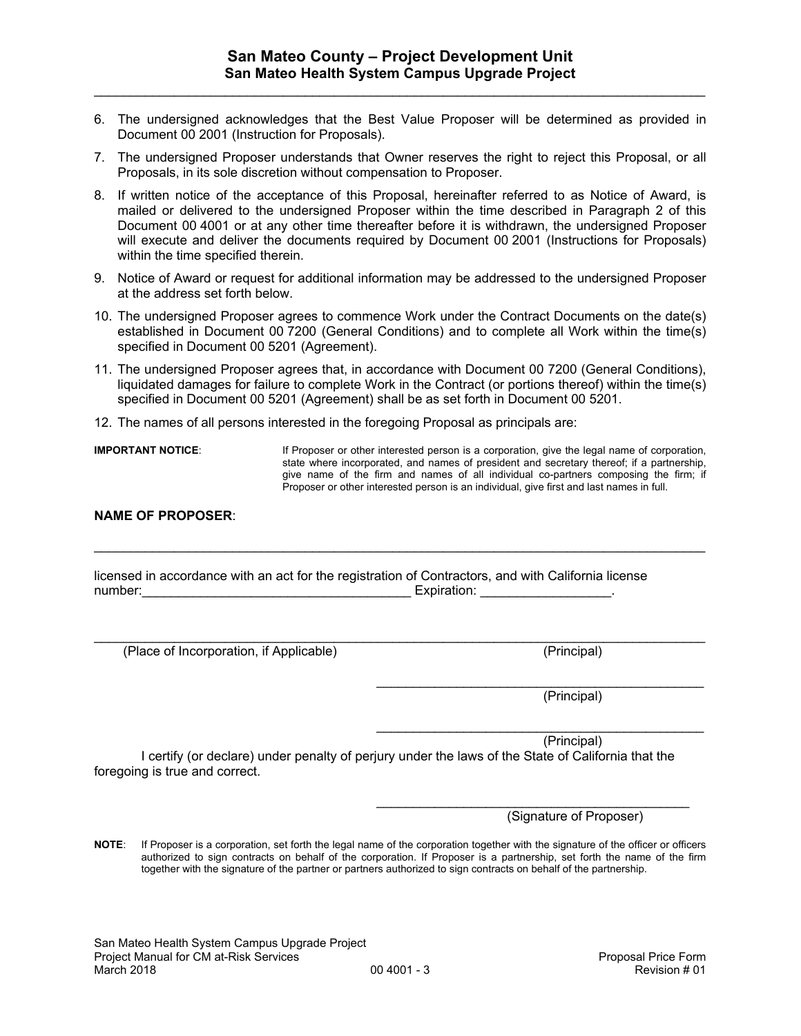- 6. The undersigned acknowledges that the Best Value Proposer will be determined as provided in Document 00 2001 (Instruction for Proposals).
- 7. The undersigned Proposer understands that Owner reserves the right to reject this Proposal, or all Proposals, in its sole discretion without compensation to Proposer.
- 8. If written notice of the acceptance of this Proposal, hereinafter referred to as Notice of Award, is mailed or delivered to the undersigned Proposer within the time described in Paragraph 2 of this Document 00 4001 or at any other time thereafter before it is withdrawn, the undersigned Proposer will execute and deliver the documents required by Document 00 2001 (Instructions for Proposals) within the time specified therein.
- 9. Notice of Award or request for additional information may be addressed to the undersigned Proposer at the address set forth below.
- 10. The undersigned Proposer agrees to commence Work under the Contract Documents on the date(s) established in Document 00 7200 (General Conditions) and to complete all Work within the time(s) specified in Document 00 5201 (Agreement).
- 11. The undersigned Proposer agrees that, in accordance with Document 00 7200 (General Conditions), liquidated damages for failure to complete Work in the Contract (or portions thereof) within the time(s) specified in Document 00 5201 (Agreement) shall be as set forth in Document 00 5201.

 $\mathcal{L}_\mathcal{L} = \{ \mathcal{L}_\mathcal{L} = \{ \mathcal{L}_\mathcal{L} = \{ \mathcal{L}_\mathcal{L} = \{ \mathcal{L}_\mathcal{L} = \{ \mathcal{L}_\mathcal{L} = \{ \mathcal{L}_\mathcal{L} = \{ \mathcal{L}_\mathcal{L} = \{ \mathcal{L}_\mathcal{L} = \{ \mathcal{L}_\mathcal{L} = \{ \mathcal{L}_\mathcal{L} = \{ \mathcal{L}_\mathcal{L} = \{ \mathcal{L}_\mathcal{L} = \{ \mathcal{L}_\mathcal{L} = \{ \mathcal{L}_\mathcal{$ 

 $\mathcal{L}_\mathcal{L} = \{ \mathcal{L}_\mathcal{L} = \{ \mathcal{L}_\mathcal{L} = \{ \mathcal{L}_\mathcal{L} = \{ \mathcal{L}_\mathcal{L} = \{ \mathcal{L}_\mathcal{L} = \{ \mathcal{L}_\mathcal{L} = \{ \mathcal{L}_\mathcal{L} = \{ \mathcal{L}_\mathcal{L} = \{ \mathcal{L}_\mathcal{L} = \{ \mathcal{L}_\mathcal{L} = \{ \mathcal{L}_\mathcal{L} = \{ \mathcal{L}_\mathcal{L} = \{ \mathcal{L}_\mathcal{L} = \{ \mathcal{L}_\mathcal{$ 

 $\frac{1}{2}$  , and the contribution of the contribution of the contribution of the contribution of the contribution of the contribution of the contribution of the contribution of the contribution of the contribution of the c

12. The names of all persons interested in the foregoing Proposal as principals are:

**IMPORTANT NOTICE:** If Proposer or other interested person is a corporation, give the legal name of corporation, state where incorporated, and names of president and secretary thereof; if a partnership, give name of the firm and names of all individual co-partners composing the firm; if Proposer or other interested person is an individual, give first and last names in full.

#### **NAME OF PROPOSER**:

licensed in accordance with an act for the registration of Contractors, and with California license number: Expiration:

(Place of Incorporation, if Applicable) (Principal)

 $\frac{1}{2}$  , and the contribution of the contribution of the contribution of the contribution of the contribution of the contribution of the contribution of the contribution of the contribution of the contribution of the c (Principal)

(Principal)

I certify (or declare) under penalty of perjury under the laws of the State of California that the foregoing is true and correct.

 $\overline{\phantom{a}}$  , and the contract of the contract of the contract of the contract of the contract of the contract of the contract of the contract of the contract of the contract of the contract of the contract of the contrac

(Signature of Proposer)

**NOTE**: If Proposer is a corporation, set forth the legal name of the corporation together with the signature of the officer or officers authorized to sign contracts on behalf of the corporation. If Proposer is a partnership, set forth the name of the firm together with the signature of the partner or partners authorized to sign contracts on behalf of the partnership.